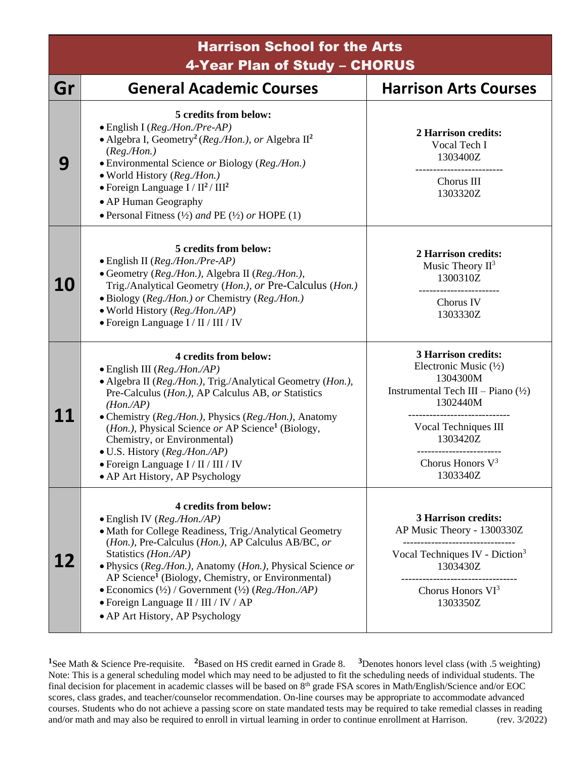| <b>Harrison School for the Arts</b><br>4-Year Plan of Study - CHORUS |                                                                                                                                                                                                                                                                                                                                                                                                                                                                            |                                                                                                                                                                                                                |
|----------------------------------------------------------------------|----------------------------------------------------------------------------------------------------------------------------------------------------------------------------------------------------------------------------------------------------------------------------------------------------------------------------------------------------------------------------------------------------------------------------------------------------------------------------|----------------------------------------------------------------------------------------------------------------------------------------------------------------------------------------------------------------|
| Gr                                                                   | <b>General Academic Courses</b>                                                                                                                                                                                                                                                                                                                                                                                                                                            | <b>Harrison Arts Courses</b>                                                                                                                                                                                   |
| 9                                                                    | 5 credits from below:<br>· English I (Reg./Hon./Pre-AP)<br>• Algebra I, Geometry <sup>2</sup> (Reg./Hon.), or Algebra $\mathbb{H}^2$<br>(Reg. / Hon.)<br>• Environmental Science or Biology (Reg./Hon.)<br>· World History (Reg./Hon.)<br>$\bullet$ Foreign Language I / $II^2$ / $III^2$<br>• AP Human Geography<br>• Personal Fitness $(\frac{1}{2})$ and PE $(\frac{1}{2})$ or HOPE $(1)$                                                                               | 2 Harrison credits:<br>Vocal Tech I<br>1303400Z<br>Chorus III<br>1303320Z                                                                                                                                      |
| <b>10</b>                                                            | 5 credits from below:<br>$\bullet$ English II (Reg./Hon./Pre-AP)<br>• Geometry (Reg./Hon.), Algebra II (Reg./Hon.),<br>Trig./Analytical Geometry (Hon.), or Pre-Calculus (Hon.)<br>• Biology (Reg./Hon.) or Chemistry (Reg./Hon.)<br>• World History (Reg./Hon./AP)<br>· Foreign Language I / II / III / IV                                                                                                                                                                | 2 Harrison credits:<br>Music Theory $II^3$<br>1300310Z<br>Chorus IV<br>1303330Z                                                                                                                                |
| 11                                                                   | 4 credits from below:<br>· English III (Reg./Hon./AP)<br>• Algebra II (Reg./Hon.), Trig./Analytical Geometry (Hon.),<br>Pre-Calculus (Hon.), AP Calculus AB, or Statistics<br>$(Hon \, AB)$<br>• Chemistry (Reg./Hon.), Physics (Reg./Hon.), Anatomy<br>( <i>Hon.</i> ), Physical Science or AP Science <sup>1</sup> (Biology,<br>Chemistry, or Environmental)<br>• U.S. History (Reg./Hon./AP)<br>• Foreign Language I / II / III / IV<br>• AP Art History, AP Psychology | <b>3 Harrison credits:</b><br>Electronic Music $(\frac{1}{2})$<br>1304300M<br>Instrumental Tech III – Piano $(\frac{1}{2})$<br>1302440M<br>Vocal Techniques III<br>1303420Z<br>Chorus Honors $V^3$<br>1303340Z |
| 12                                                                   | 4 credits from below:<br>$\bullet$ English IV ( <i>Reg./Hon./AP</i> )<br>• Math for College Readiness, Trig./Analytical Geometry<br>(Hon.), Pre-Calculus (Hon.), AP Calculus AB/BC, or<br>Statistics (Hon./AP)<br>· Physics (Reg./Hon.), Anatomy (Hon.), Physical Science or<br>AP Science <sup>1</sup> (Biology, Chemistry, or Environmental)<br>• Economics $(\frac{1}{2})$ / Government $(\frac{1}{2})$ (Reg./Hon./AP)<br>• Foreign Language II / III / IV / AP         | <b>3 Harrison credits:</b><br>AP Music Theory - 1300330Z<br>Vocal Techniques IV - Diction <sup>3</sup><br>1303430Z<br>Chorus Honors $VI^3$<br>1303350Z                                                         |

• AP Art History, AP Psychology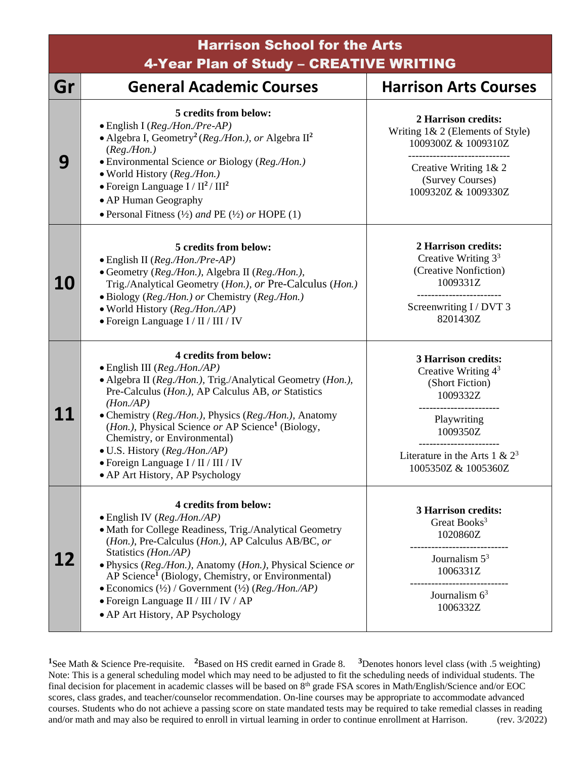| <b>Harrison School for the Arts</b><br>4-Year Plan of Study - CREATIVE WRITING |                                                                                                                                                                                                                                                                                                                                                                                                                                                                                                       |                                                                                                                                                                           |
|--------------------------------------------------------------------------------|-------------------------------------------------------------------------------------------------------------------------------------------------------------------------------------------------------------------------------------------------------------------------------------------------------------------------------------------------------------------------------------------------------------------------------------------------------------------------------------------------------|---------------------------------------------------------------------------------------------------------------------------------------------------------------------------|
| Gr                                                                             | <b>General Academic Courses</b>                                                                                                                                                                                                                                                                                                                                                                                                                                                                       | <b>Harrison Arts Courses</b>                                                                                                                                              |
| 9                                                                              | 5 credits from below:<br>· English I (Reg./Hon./Pre-AP)<br>• Algebra I, Geometry <sup>2</sup> (Reg./Hon.), or Algebra $II^2$<br>(Reg. / Hon.)<br>• Environmental Science or Biology (Reg./Hon.)<br>· World History (Reg./Hon.)<br>• Foreign Language $I / II^2 / III^2$<br>• AP Human Geography<br>• Personal Fitness $(\frac{1}{2})$ and PE $(\frac{1}{2})$ or HOPE (1)                                                                                                                              | 2 Harrison credits:<br>Writing 1& 2 (Elements of Style)<br>1009300Z & 1009310Z<br>Creative Writing 1& 2<br>(Survey Courses)<br>1009320Z & 1009330Z                        |
| <b>10</b>                                                                      | 5 credits from below:<br>· English II (Reg./Hon./Pre-AP)<br>• Geometry (Reg./Hon.), Algebra II (Reg./Hon.),<br>Trig./Analytical Geometry (Hon.), or Pre-Calculus (Hon.)<br>· Biology (Reg./Hon.) or Chemistry (Reg./Hon.)<br>• World History (Reg./Hon./AP)<br>• Foreign Language I / II / III / IV                                                                                                                                                                                                   | 2 Harrison credits:<br>Creative Writing $33$<br>(Creative Nonfiction)<br>1009331Z<br>Screenwriting I / DVT 3<br>8201430Z                                                  |
| 11                                                                             | 4 credits from below:<br>$\bullet$ English III (Reg./Hon./AP)<br>• Algebra II (Reg./Hon.), Trig./Analytical Geometry (Hon.),<br>Pre-Calculus (Hon.), AP Calculus AB, or Statistics<br>$(Hon \, AB)$<br>• Chemistry (Reg./Hon.), Physics (Reg./Hon.), Anatomy<br>(Hon.), Physical Science or AP Science <sup>1</sup> (Biology,<br>Chemistry, or Environmental)<br>• U.S. History (Reg./Hon./AP)<br>· Foreign Language I / II / III / IV<br>• AP Art History, AP Psychology                             | <b>3 Harrison credits:</b><br>Creative Writing $4^3$<br>(Short Fiction)<br>1009332Z<br>Playwriting<br>1009350Z<br>Literature in the Arts 1 & $2^3$<br>1005350Z & 1005360Z |
|                                                                                | 4 credits from below:<br>$\bullet$ English IV ( <i>Reg./Hon./AP</i> )<br>• Math for College Readiness, Trig./Analytical Geometry<br>(Hon.), Pre-Calculus (Hon.), AP Calculus AB/BC, or<br>Statistics (Hon./AP)<br>· Physics (Reg./Hon.), Anatomy (Hon.), Physical Science or<br>AP Science <sup>1</sup> (Biology, Chemistry, or Environmental)<br>• Economics $(\frac{1}{2})$ / Government $(\frac{1}{2})$ (Reg./Hon./AP)<br>• Foreign Language II / III / IV / AP<br>• AP Art History, AP Psychology | <b>3 Harrison credits:</b><br>Great Books <sup>3</sup><br>1020860Z<br>Journalism $5^3$<br>1006331Z<br>Journalism $63$<br>1006332Z                                         |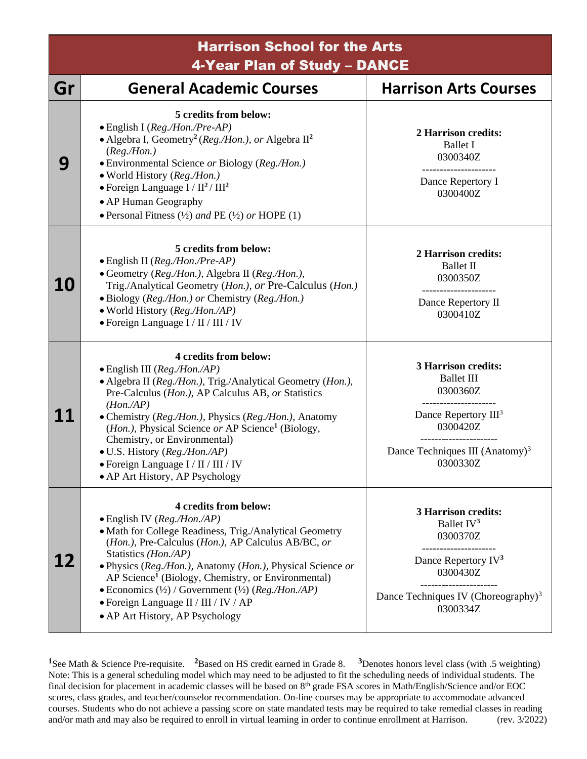Harrison School for the Arts 4-Year Plan of Study – DANCE

| Gr        | <b>General Academic Courses</b>                                                                                                                                                                                                                                                                                                                                                                                                                                                              | <b>Harrison Arts Courses</b>                                                                                                                                                                |
|-----------|----------------------------------------------------------------------------------------------------------------------------------------------------------------------------------------------------------------------------------------------------------------------------------------------------------------------------------------------------------------------------------------------------------------------------------------------------------------------------------------------|---------------------------------------------------------------------------------------------------------------------------------------------------------------------------------------------|
| 9         | 5 credits from below:<br>· English I (Reg./Hon./Pre-AP)<br>• Algebra I, Geometry <sup>2</sup> (Reg./Hon.), or Algebra $\mathbb{I}^2$<br>(Reg. / Hon.)<br>• Environmental Science or Biology (Reg./Hon.)<br>· World History (Reg./Hon.)<br>$\bullet$ Foreign Language I / $II^2$ / $III^2$<br>• AP Human Geography<br>• Personal Fitness $(\frac{1}{2})$ and PE $(\frac{1}{2})$ or HOPE $(1)$                                                                                                 | 2 Harrison credits:<br><b>Ballet I</b><br>0300340Z<br>Dance Repertory I<br>0300400Z                                                                                                         |
| <b>10</b> | 5 credits from below:<br>$\bullet$ English II (Reg./Hon./Pre-AP)<br>• Geometry (Reg./Hon.), Algebra II (Reg./Hon.),<br>Trig./Analytical Geometry (Hon.), or Pre-Calculus (Hon.)<br>• Biology (Reg./Hon.) or Chemistry (Reg./Hon.)<br>· World History (Reg./Hon./AP)<br>• Foreign Language I / II / III / IV                                                                                                                                                                                  | 2 Harrison credits:<br><b>Ballet II</b><br>0300350Z<br>Dance Repertory II<br>0300410Z                                                                                                       |
| 11        | 4 credits from below:<br>$\bullet$ English III (Reg./Hon./AP)<br>• Algebra II (Reg./Hon.), Trig./Analytical Geometry (Hon.),<br>Pre-Calculus (Hon.), AP Calculus AB, or Statistics<br>$(Hon.$ /AP)<br>• Chemistry (Reg./Hon.), Physics (Reg./Hon.), Anatomy<br>( <i>Hon.</i> ), Physical Science or AP Science <sup>1</sup> (Biology,<br>Chemistry, or Environmental)<br>• U.S. History (Reg./Hon./AP)<br>• Foreign Language I / II / III / IV<br>• AP Art History, AP Psychology            | <b>3 Harrison credits:</b><br><b>Ballet III</b><br>0300360Z<br>-----------------<br>Dance Repertory III <sup>3</sup><br>0300420Z<br>Dance Techniques III (Anatomy) <sup>3</sup><br>0300330Z |
| 12        | 4 credits from below:<br>$\bullet$ English IV (Reg./Hon./AP)<br>• Math for College Readiness, Trig./Analytical Geometry<br>(Hon.), Pre-Calculus (Hon.), AP Calculus AB/BC, or<br>Statistics (Hon./AP)<br>· Physics (Reg./Hon.), Anatomy (Hon.), Physical Science or<br>AP Science <sup>1</sup> (Biology, Chemistry, or Environmental)<br>• Economics $(\frac{1}{2})$ / Government $(\frac{1}{2})$ (Reg./Hon./AP)<br>• Foreign Language II / III / IV / AP<br>• AP Art History, AP Psychology | <b>3 Harrison credits:</b><br>Ballet $IV3$<br>0300370Z<br>--------------<br>Dance Repertory IV <sup>3</sup><br>0300430Z<br>Dance Techniques IV (Choreography) <sup>3</sup><br>0300334Z      |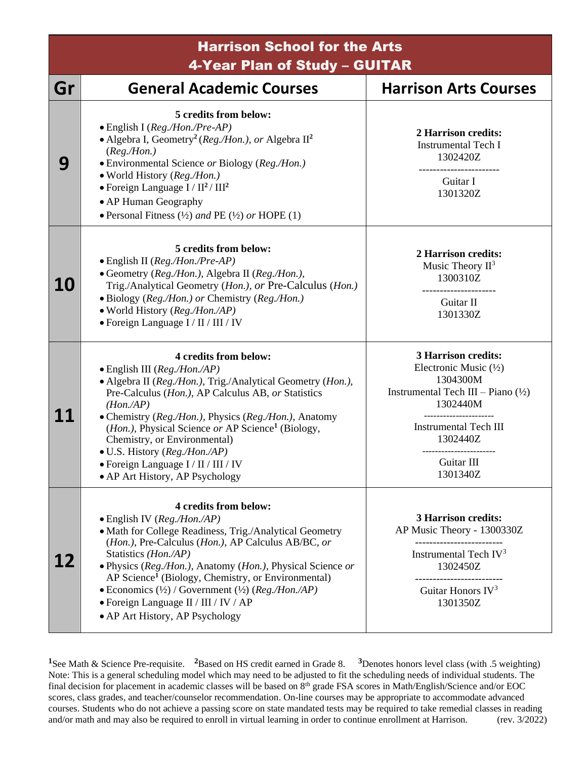| <b>Harrison School for the Arts</b><br>4-Year Plan of Study - GUITAR |                                 |                              |
|----------------------------------------------------------------------|---------------------------------|------------------------------|
|                                                                      |                                 |                              |
| Gr                                                                   | <b>General Academic Courses</b> | <b>Harrison Arts Courses</b> |

| u         | OCHEI AI ALAUCHIIL LUUISES                                                                                                                                                                                                                                                                                                                                                                                                                                                           | <u> HAITISUILAI IS CUUISES</u>                                                                                                                                                                                                       |
|-----------|--------------------------------------------------------------------------------------------------------------------------------------------------------------------------------------------------------------------------------------------------------------------------------------------------------------------------------------------------------------------------------------------------------------------------------------------------------------------------------------|--------------------------------------------------------------------------------------------------------------------------------------------------------------------------------------------------------------------------------------|
| 9         | 5 credits from below:<br>$\bullet$ English I (Reg./Hon./Pre-AP)<br>• Algebra I, Geometry <sup>2</sup> (Reg./Hon.), or Algebra $II^2$<br>(Reg. / Hon.)<br>• Environmental Science or Biology (Reg./Hon.)<br>• World History (Reg./Hon.)<br>$\bullet$ Foreign Language I / II <sup>2</sup> / III <sup>2</sup><br>• AP Human Geography<br>• Personal Fitness $(\frac{1}{2})$ and PE $(\frac{1}{2})$ or HOPE (1)                                                                         | 2 Harrison credits:<br><b>Instrumental Tech I</b><br>1302420Z<br>Guitar I<br>1301320Z                                                                                                                                                |
| <b>10</b> | 5 credits from below:<br>· English II (Reg./Hon./Pre-AP)<br>• Geometry (Reg./Hon.), Algebra II (Reg./Hon.),<br>Trig./Analytical Geometry (Hon.), or Pre-Calculus (Hon.)<br>· Biology (Reg./Hon.) or Chemistry (Reg./Hon.)<br>• World History (Reg./Hon./AP)<br>• Foreign Language I / II / III / IV                                                                                                                                                                                  | 2 Harrison credits:<br>Music Theory $II^3$<br>1300310Z<br>Guitar II<br>1301330Z                                                                                                                                                      |
|           | 4 credits from below:<br>$\bullet$ English III (Reg./Hon./AP)<br>• Algebra II (Reg./Hon.), Trig./Analytical Geometry (Hon.),<br>Pre-Calculus (Hon.), AP Calculus AB, or Statistics<br>$(Hon \, AB)$<br>• Chemistry (Reg./Hon.), Physics (Reg./Hon.), Anatomy<br>( <i>Hon.</i> ), Physical Science or AP Science <sup>1</sup> (Biology,<br>Chemistry, or Environmental)<br>• U.S. History (Reg./Hon./AP)<br>• Foreign Language I / II / III / IV<br>• AP Art History, AP Psychology   | <b>3 Harrison credits:</b><br>Electronic Music $(\frac{1}{2})$<br>1304300M<br>Instrumental Tech III – Piano $(\frac{1}{2})$<br>1302440M<br>-------------------<br><b>Instrumental Tech III</b><br>1302440Z<br>Guitar III<br>1301340Z |
| 12        | 4 credits from below:<br>· English IV (Reg./Hon./AP)<br>• Math for College Readiness, Trig./Analytical Geometry<br>(Hon.), Pre-Calculus (Hon.), AP Calculus AB/BC, or<br>Statistics (Hon./AP)<br>• Physics (Reg./Hon.), Anatomy (Hon.), Physical Science or<br>AP Science <sup>1</sup> (Biology, Chemistry, or Environmental)<br>• Economics $(\frac{1}{2})$ / Government $(\frac{1}{2})$ (Reg./Hon./AP)<br>• Foreign Language II / III / IV / AP<br>• AP Art History, AP Psychology | <b>3 Harrison credits:</b><br>AP Music Theory - 1300330Z<br>Instrumental Tech $IV3$<br>1302450Z<br>Guitar Honors $IV3$<br>1301350Z                                                                                                   |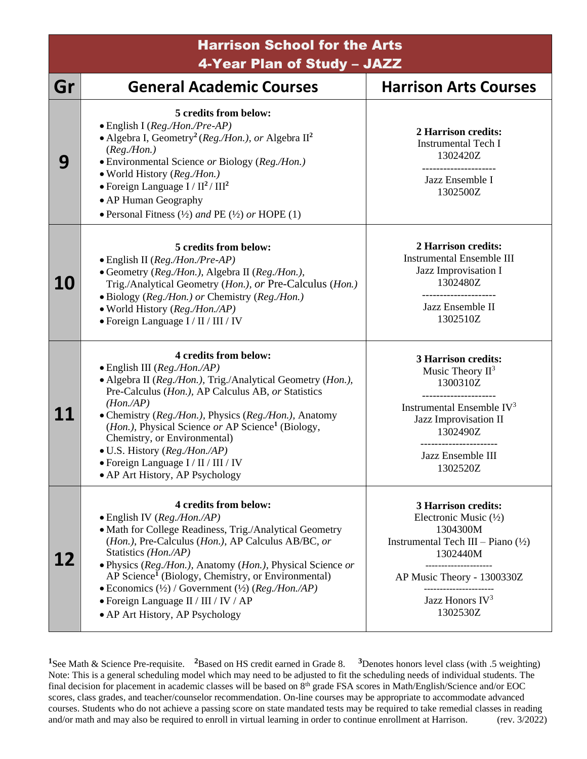Harrison School for the Arts 4-Year Plan of Study – JAZZ **Gr General Academic Courses Harrison Arts Courses 9 5 credits from below:** • English I (*Reg./Hon./Pre-AP)* • Algebra I, Geometry**<sup>2</sup>** (*Reg./Hon.), or* Algebra II**<sup>2</sup>** (*Reg./Hon.)* • Environmental Science *or* Biology (*Reg./Hon.)* • World History (*Reg./Hon.)* • Foreign Language I / II**<sup>2</sup>** / III**<sup>2</sup>** • AP Human Geography • Personal Fitness (½) *and* PE (½) *or* HOPE (1) **2 Harrison credits:** Instrumental Tech I 1302420Z --------------------- Jazz Ensemble I 1302500Z **10 5 credits from below:** • English II (*Reg./Hon./Pre-AP)* • Geometry (*Reg./Hon.),* Algebra II (*Reg./Hon.),* Trig./Analytical Geometry (*Hon.), or* Pre-Calculus (*Hon.)* • Biology (*Reg./Hon.) or* Chemistry (*Reg./Hon.)* • World History (*Reg./Hon./AP)* • Foreign Language I / II / III / IV **2 Harrison credits:** Instrumental Ensemble III Jazz Improvisation I 1302480Z --------------------- Jazz Ensemble II 1302510Z **11 4 credits from below:** • English III (*Reg./Hon./AP)* • Algebra II (*Reg./Hon.),* Trig./Analytical Geometry (*Hon.),* Pre-Calculus (*Hon.),* AP Calculus AB, *or* Statistics *(Hon./AP)* • Chemistry (*Reg./Hon.),* Physics (*Reg./Hon.),* Anatomy (*Hon.),* Physical Science *or* AP Science**<sup>1</sup>** (Biology, Chemistry, or Environmental) • U.S. History (*Reg./Hon./AP)* • Foreign Language I / II / III / IV • AP Art History, AP Psychology **3 Harrison credits:** Music Theory II<sup>3</sup> 1300310Z --------------------- Instrumental Ensemble IV 3 Jazz Improvisation II 1302490Z ---------------------- Jazz Ensemble III 1302520Z **12 4 credits from below:** • English IV (*Reg./Hon./AP)* • Math for College Readiness, Trig./Analytical Geometry (*Hon.)*, Pre-Calculus (*Hon.)*, AP Calculus AB/BC*, or* Statistics *(Hon./AP)* • Physics (*Reg./Hon.),* Anatomy (*Hon.),* Physical Science *or*  AP Science**<sup>1</sup>** (Biology, Chemistry, or Environmental) • Economics (½) / Government (½) (*Reg./Hon./AP)* • Foreign Language II / III / IV / AP **3 Harrison credits:** Electronic Music (½) 1304300M Instrumental Tech III – Piano  $(\frac{1}{2})$ 1302440M --------------------- AP Music Theory - 1300330Z ---------------------- Jazz Honors IV<sup>3</sup>

• AP Art History, AP Psychology

1302530Z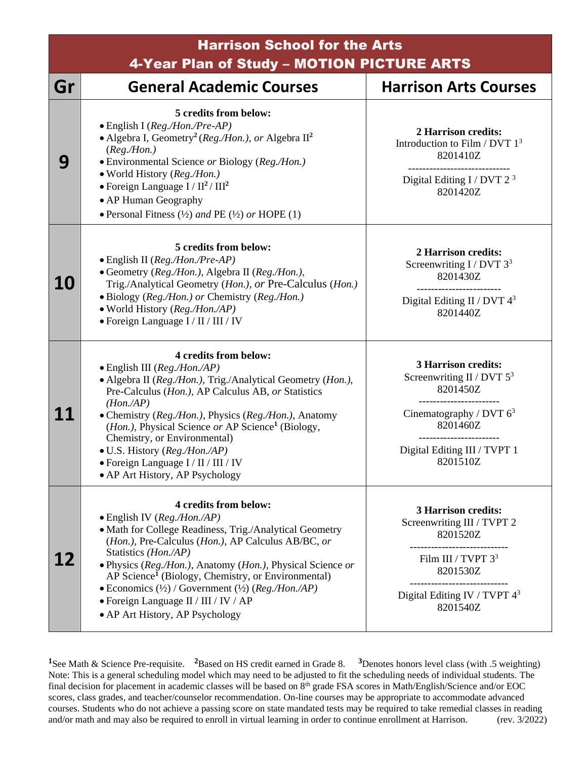|           | <b>Harrison School for the Arts</b><br>4-Year Plan of Study - MOTION PICTURE ARTS                                                                                                                                                                                                                                                                                                                                                                                                                     |                                                                                                                                                              |  |
|-----------|-------------------------------------------------------------------------------------------------------------------------------------------------------------------------------------------------------------------------------------------------------------------------------------------------------------------------------------------------------------------------------------------------------------------------------------------------------------------------------------------------------|--------------------------------------------------------------------------------------------------------------------------------------------------------------|--|
| Gr        | <b>General Academic Courses</b>                                                                                                                                                                                                                                                                                                                                                                                                                                                                       | <b>Harrison Arts Courses</b>                                                                                                                                 |  |
| 9         | 5 credits from below:<br>• English I (Reg./Hon./Pre-AP)<br>• Algebra I, Geometry <sup>2</sup> (Reg./Hon.), or Algebra $II^2$<br>(Reg. / Hon.)<br>• Environmental Science or Biology (Reg./Hon.)<br>· World History (Reg./Hon.)<br>• Foreign Language $I / II^2 / III^2$<br>• AP Human Geography<br>• Personal Fitness $(\frac{1}{2})$ and PE $(\frac{1}{2})$ or HOPE $(1)$                                                                                                                            | 2 Harrison credits:<br>Introduction to Film / DVT $13$<br>8201410Z<br>Digital Editing I / DVT $2^3$<br>8201420Z                                              |  |
| <b>10</b> | 5 credits from below:<br>$\bullet$ English II (Reg./Hon./Pre-AP)<br>• Geometry (Reg./Hon.), Algebra II (Reg./Hon.),<br>Trig./Analytical Geometry (Hon.), or Pre-Calculus (Hon.)<br>• Biology (Reg./Hon.) or Chemistry (Reg./Hon.)<br>· World History (Reg./Hon./AP)<br>• Foreign Language I / II / III / IV                                                                                                                                                                                           | 2 Harrison credits:<br>Screenwriting $I / DVT 33$<br>8201430Z<br>-----------------------<br>Digital Editing II / DVT $4^3$<br>8201440Z                       |  |
| 11        | 4 credits from below:<br>· English III (Reg./Hon./AP)<br>• Algebra II (Reg./Hon.), Trig./Analytical Geometry (Hon.),<br>Pre-Calculus (Hon.), AP Calculus AB, or Statistics<br>$(Hon.$ /AP)<br>• Chemistry (Reg./Hon.), Physics (Reg./Hon.), Anatomy<br>( <i>Hon.</i> ), Physical Science or AP Science <sup>1</sup> (Biology,<br>Chemistry, or Environmental)<br>· U.S. History (Reg./Hon./AP)<br>• Foreign Language I / II / III / IV<br>• AP Art History, AP Psychology                             | <b>3 Harrison credits:</b><br>Screenwriting II / DVT $5^3$<br>8201450Z<br>Cinematography / DVT $6^3$<br>8201460Z<br>Digital Editing III / TVPT 1<br>8201510Z |  |
| 12        | 4 credits from below:<br>$\bullet$ English IV ( <i>Reg./Hon./AP</i> )<br>· Math for College Readiness, Trig./Analytical Geometry<br>(Hon.), Pre-Calculus (Hon.), AP Calculus AB/BC, or<br>Statistics (Hon./AP)<br>· Physics (Reg./Hon.), Anatomy (Hon.), Physical Science or<br>AP Science <sup>1</sup> (Biology, Chemistry, or Environmental)<br>• Economics $(\frac{1}{2})$ / Government $(\frac{1}{2})$ (Reg./Hon./AP)<br>• Foreign Language II / III / IV / AP<br>• AP Art History, AP Psychology | <b>3 Harrison credits:</b><br>Screenwriting III / TVPT 2<br>8201520Z<br>Film III / TVPT $3^3$<br>8201530Z<br>Digital Editing IV / TVPT $4^3$<br>8201540Z     |  |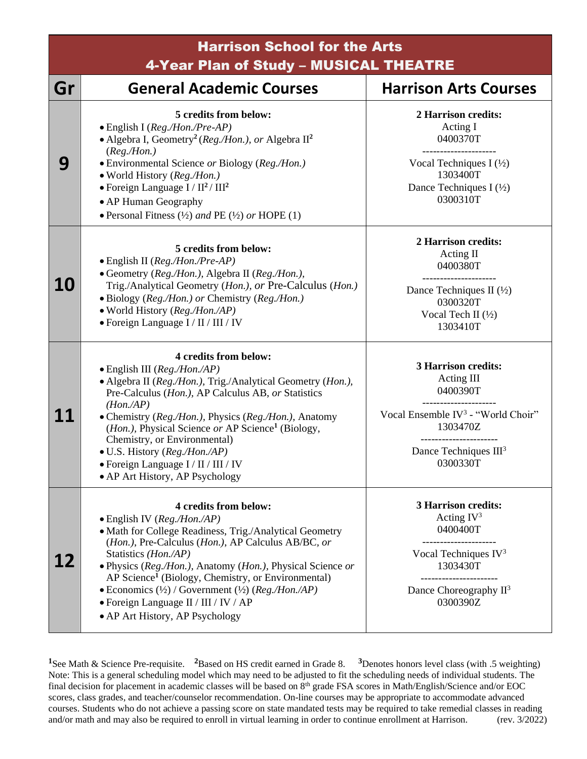| <b>Harrison School for the Arts</b><br>4-Year Plan of Study - MUSICAL THEATRE |                                                                                                                                                                                                                                                                                                                                                                                                                                                                                                    |                                                                                                                                                                      |
|-------------------------------------------------------------------------------|----------------------------------------------------------------------------------------------------------------------------------------------------------------------------------------------------------------------------------------------------------------------------------------------------------------------------------------------------------------------------------------------------------------------------------------------------------------------------------------------------|----------------------------------------------------------------------------------------------------------------------------------------------------------------------|
| Gr                                                                            | <b>General Academic Courses</b>                                                                                                                                                                                                                                                                                                                                                                                                                                                                    | <b>Harrison Arts Courses</b>                                                                                                                                         |
| 9                                                                             | 5 credits from below:<br>· English I (Reg./Hon./Pre-AP)<br>• Algebra I, Geometry <sup>2</sup> (Reg./Hon.), or Algebra $\mathbb{I}^2$<br>(Reg. / Hon.)<br>• Environmental Science or Biology (Reg./Hon.)<br>· World History (Reg./Hon.)<br>• Foreign Language $I / II^2 / III^2$<br>• AP Human Geography<br>• Personal Fitness $(\frac{1}{2})$ and PE $(\frac{1}{2})$ or HOPE $(1)$                                                                                                                 | 2 Harrison credits:<br>Acting I<br>0400370T<br>-----------------<br>Vocal Techniques I $(\frac{1}{2})$<br>1303400T<br>Dance Techniques I $(\frac{1}{2})$<br>0300310T |
| <b>10</b>                                                                     | 5 credits from below:<br>• English II (Reg./Hon./Pre-AP)<br>• Geometry (Reg./Hon.), Algebra II (Reg./Hon.),<br>Trig./Analytical Geometry (Hon.), or Pre-Calculus (Hon.)<br>• Biology (Reg./Hon.) or Chemistry (Reg./Hon.)<br>• World History (Reg./Hon./AP)<br>• Foreign Language I / II / III / IV                                                                                                                                                                                                | 2 Harrison credits:<br>Acting II<br>0400380T<br>Dance Techniques II $(\frac{1}{2})$<br>0300320T<br>Vocal Tech II $(\frac{1}{2})$<br>1303410T                         |
| 11                                                                            | 4 credits from below:<br>$\bullet$ English III ( <i>Reg./Hon./AP</i> )<br>• Algebra II (Reg./Hon.), Trig./Analytical Geometry (Hon.),<br>Pre-Calculus (Hon.), AP Calculus AB, or Statistics<br>$(Hon.$ /AP)<br>• Chemistry (Reg./Hon.), Physics (Reg./Hon.), Anatomy<br>( <i>Hon.</i> ), Physical Science or AP Science <sup>1</sup> (Biology,<br>Chemistry, or Environmental)<br>• U.S. History (Reg./Hon./AP)<br>· Foreign Language I / II / III / IV<br>• AP Art History, AP Psychology         | <b>3 Harrison credits:</b><br>Acting III<br>0400390T<br>Vocal Ensemble IV <sup>3</sup> - "World Choir"<br>1303470Z<br>Dance Techniques $III3$<br>0300330T            |
| 12                                                                            | 4 credits from below:<br>$\bullet$ English IV ( <i>Reg./Hon./AP</i> )<br>• Math for College Readiness, Trig./Analytical Geometry<br>(Hon.), Pre-Calculus (Hon.), AP Calculus AB/BC, or<br>Statistics ( <i>Hon./AP</i> )<br>· Physics (Reg./Hon.), Anatomy (Hon.), Physical Science or<br>AP Science <sup>1</sup> (Biology, Chemistry, or Environmental)<br>$\bullet$ Economics (½) / Government (½) ( $Reg$ ./Hon./AP)<br>• Foreign Language II / III / IV / AP<br>• AP Art History, AP Psychology | <b>3 Harrison credits:</b><br>Acting $IV^3$<br>0400400T<br>Vocal Techniques $IV3$<br>1303430T<br>---------------<br>Dance Choreography $II^3$<br>0300390Z            |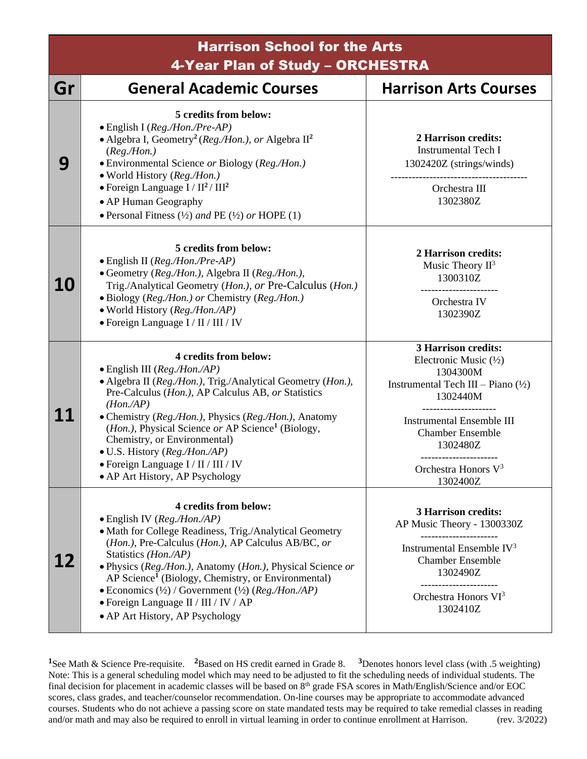| <b>Harrison School for the Arts</b><br>4-Year Plan of Study - ORCHESTRA |                                                                                                                                                                                                                                                                                                                                                                                                                                                                                           |                                                                                                                                                                                                                                                                                 |
|-------------------------------------------------------------------------|-------------------------------------------------------------------------------------------------------------------------------------------------------------------------------------------------------------------------------------------------------------------------------------------------------------------------------------------------------------------------------------------------------------------------------------------------------------------------------------------|---------------------------------------------------------------------------------------------------------------------------------------------------------------------------------------------------------------------------------------------------------------------------------|
| Gr                                                                      | <b>General Academic Courses</b>                                                                                                                                                                                                                                                                                                                                                                                                                                                           | <b>Harrison Arts Courses</b>                                                                                                                                                                                                                                                    |
| 9                                                                       | 5 credits from below:<br>· English I (Reg./Hon./Pre-AP)<br>• Algebra I, Geometry <sup>2</sup> (Reg./Hon.), or Algebra $\mathbb{H}^2$<br>(Reg. / Hon.)<br>· Environmental Science or Biology (Reg./Hon.)<br>• World History (Reg./Hon.)<br>$\bullet$ Foreign Language I / II <sup>2</sup> / III <sup>2</sup><br>• AP Human Geography<br>• Personal Fitness $(\frac{1}{2})$ and PE $(\frac{1}{2})$ or HOPE $(1)$                                                                            | 2 Harrison credits:<br><b>Instrumental Tech I</b><br>1302420Z (strings/winds)<br>Orchestra III<br>1302380Z                                                                                                                                                                      |
| <b>10</b>                                                               | 5 credits from below:<br>· English II (Reg./Hon./Pre-AP)<br>• Geometry (Reg./Hon.), Algebra II (Reg./Hon.),<br>Trig./Analytical Geometry (Hon.), or Pre-Calculus (Hon.)<br>• Biology (Reg./Hon.) or Chemistry (Reg./Hon.)<br>• World History (Reg./Hon./AP)<br>• Foreign Language I / II / III / IV                                                                                                                                                                                       | 2 Harrison credits:<br>Music Theory $II^3$<br>1300310Z<br>Orchestra IV<br>1302390Z                                                                                                                                                                                              |
|                                                                         | 4 credits from below:<br>$\bullet$ English III (Reg./Hon./AP)<br>• Algebra II (Reg./Hon.), Trig./Analytical Geometry (Hon.),<br>Pre-Calculus (Hon.), AP Calculus AB, or Statistics<br>$(Hon.$ /AP)<br>• Chemistry (Reg./Hon.), Physics (Reg./Hon.), Anatomy<br>( <i>Hon.</i> ), Physical Science or AP Science <sup>1</sup> (Biology,<br>Chemistry, or Environmental)<br>• U.S. History (Reg./Hon./AP)<br>$\bullet$ Foreign Language I / II / III / IV<br>• AP Art History, AP Psychology | <b>3 Harrison credits:</b><br>Electronic Music $(\frac{1}{2})$<br>1304300M<br>Instrumental Tech III – Piano $(\frac{1}{2})$<br>1302440M<br>___________________<br><b>Instrumental Ensemble III</b><br><b>Chamber Ensemble</b><br>1302480Z<br>Orchestra Honors $V^3$<br>1302400Z |
| 12                                                                      | 4 credits from below:<br>· English IV (Reg./Hon./AP)<br>• Math for College Readiness, Trig./Analytical Geometry<br>(Hon.), Pre-Calculus (Hon.), AP Calculus AB/BC, or<br>Statistics (Hon./AP)<br>• Physics (Reg./Hon.), Anatomy (Hon.), Physical Science or<br>AP Science <sup>1</sup> (Biology, Chemistry, or Environmental)<br>• Economics $(\frac{1}{2})$ / Government $(\frac{1}{2})$ (Reg./Hon./AP)<br>• Foreign Language II / III / IV / AP<br>• AP Art History, AP Psychology      | <b>3 Harrison credits:</b><br>AP Music Theory - 1300330Z<br>Instrumental Ensemble $IV3$<br><b>Chamber Ensemble</b><br>1302490Z<br>Orchestra Honors VI <sup>3</sup><br>1302410Z                                                                                                  |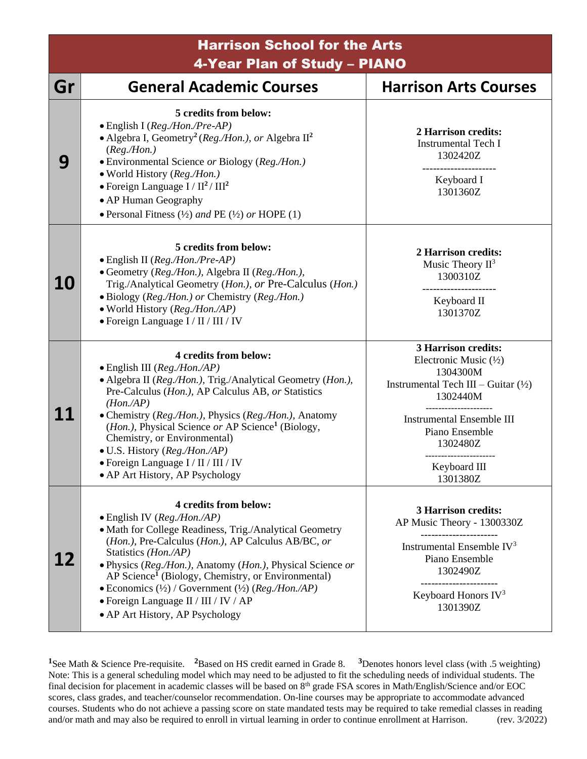Harrison School for the Arts 4-Year Plan of Study – PIANO

| Gr | <b>General Academic Courses</b>                                                                                                                                                                                                                                                                                                                                                                                                                                                                       | <b>Harrison Arts Courses</b>                                                                                                                                                                                                           |
|----|-------------------------------------------------------------------------------------------------------------------------------------------------------------------------------------------------------------------------------------------------------------------------------------------------------------------------------------------------------------------------------------------------------------------------------------------------------------------------------------------------------|----------------------------------------------------------------------------------------------------------------------------------------------------------------------------------------------------------------------------------------|
| 9  | 5 credits from below:<br>$\bullet$ English I ( <i>Reg./Hon./Pre-AP</i> )<br>• Algebra I, Geometry <sup>2</sup> (Reg./Hon.), or Algebra $\mathbb{H}^2$<br>(Reg. / Hon.)<br>• Environmental Science or Biology (Reg./Hon.)<br>• World History (Reg./Hon.)<br>• Foreign Language $I / II^2 / III^2$<br>• AP Human Geography<br>• Personal Fitness $(\frac{1}{2})$ and PE $(\frac{1}{2})$ or HOPE $(1)$                                                                                                   | 2 Harrison credits:<br><b>Instrumental Tech I</b><br>1302420Z<br>Keyboard I<br>1301360Z                                                                                                                                                |
| 10 | 5 credits from below:<br>$\bullet$ English II (Reg./Hon./Pre-AP)<br>• Geometry (Reg./Hon.), Algebra II (Reg./Hon.),<br>Trig./Analytical Geometry (Hon.), or Pre-Calculus (Hon.)<br>• Biology (Reg./Hon.) or Chemistry (Reg./Hon.)<br>• World History (Reg./Hon./AP)<br>• Foreign Language I / II / III / IV                                                                                                                                                                                           | 2 Harrison credits:<br>Music Theory $II^3$<br>1300310Z<br>Keyboard II<br>1301370Z                                                                                                                                                      |
|    | 4 credits from below:<br>$\bullet$ English III ( <i>Reg./Hon./AP</i> )<br>• Algebra II (Reg./Hon.), Trig./Analytical Geometry (Hon.),<br>Pre-Calculus (Hon.), AP Calculus AB, or Statistics<br>$(Hon.$ /AP)<br>• Chemistry (Reg./Hon.), Physics (Reg./Hon.), Anatomy<br>( <i>Hon.</i> ), Physical Science or AP Science <sup>1</sup> (Biology,<br>Chemistry, or Environmental)<br>• U.S. History (Reg./Hon./AP)<br>• Foreign Language I / II / III / IV<br>• AP Art History, AP Psychology            | <b>3 Harrison credits:</b><br>Electronic Music $(\frac{1}{2})$<br>1304300M<br>Instrumental Tech III – Guitar $(\frac{1}{2})$<br>1302440M<br><b>Instrumental Ensemble III</b><br>Piano Ensemble<br>1302480Z<br>Keyboard III<br>1301380Z |
| 12 | 4 credits from below:<br>$\bullet$ English IV ( <i>Reg./Hon./AP</i> )<br>• Math for College Readiness, Trig./Analytical Geometry<br>(Hon.), Pre-Calculus (Hon.), AP Calculus AB/BC, or<br>Statistics (Hon./AP)<br>· Physics (Reg./Hon.), Anatomy (Hon.), Physical Science or<br>AP Science <sup>1</sup> (Biology, Chemistry, or Environmental)<br>• Economics $(\frac{1}{2})$ / Government $(\frac{1}{2})$ (Reg./Hon./AP)<br>• Foreign Language II / III / IV / AP<br>• AP Art History, AP Psychology | <b>3 Harrison credits:</b><br>AP Music Theory - 1300330Z<br>Instrumental Ensemble $IV3$<br>Piano Ensemble<br>1302490Z<br>Keyboard Honors $IV3$<br>1301390Z                                                                             |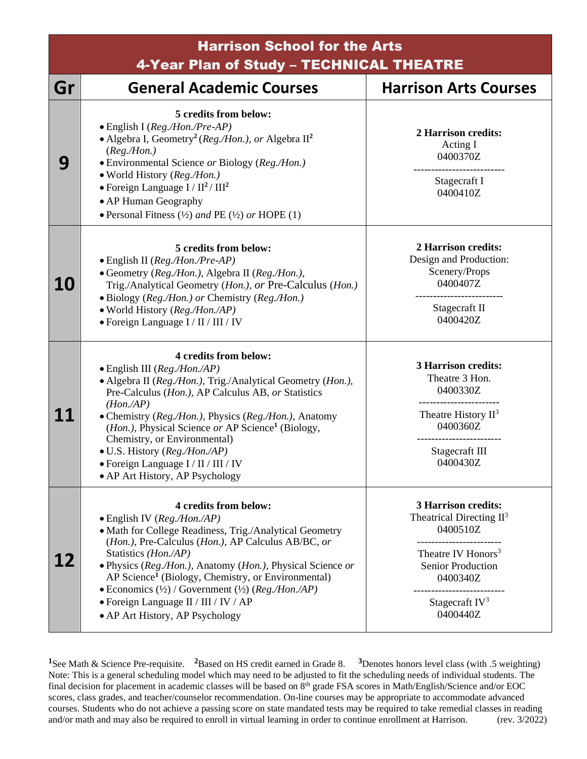| <b>Harrison School for the Arts</b><br>4-Year Plan of Study - TECHNICAL THEATRE |                                                                                                                                                                                                                                                                                                                                                                                                                                                                                              |                                                                                                                                                                                           |
|---------------------------------------------------------------------------------|----------------------------------------------------------------------------------------------------------------------------------------------------------------------------------------------------------------------------------------------------------------------------------------------------------------------------------------------------------------------------------------------------------------------------------------------------------------------------------------------|-------------------------------------------------------------------------------------------------------------------------------------------------------------------------------------------|
| Gr                                                                              | <b>General Academic Courses</b>                                                                                                                                                                                                                                                                                                                                                                                                                                                              | <b>Harrison Arts Courses</b>                                                                                                                                                              |
| 9                                                                               | 5 credits from below:<br>· English I (Reg./Hon./Pre-AP)<br>• Algebra I, Geometry <sup>2</sup> (Reg./Hon.), or Algebra $\mathbb{I}^2$<br>(Reg. / Hon.)<br>• Environmental Science or Biology (Reg./Hon.)<br>· World History (Reg./Hon.)<br>• Foreign Language $I / II^2 / III^2$                                                                                                                                                                                                              | 2 Harrison credits:<br>Acting I<br>0400370Z<br>Stagecraft I<br>0400410Z                                                                                                                   |
|                                                                                 | • AP Human Geography<br>• Personal Fitness $(\frac{1}{2})$ and PE $(\frac{1}{2})$ or HOPE $(1)$                                                                                                                                                                                                                                                                                                                                                                                              |                                                                                                                                                                                           |
| <b>10</b>                                                                       | 5 credits from below:<br>$\bullet$ English II (Reg./Hon./Pre-AP)<br>• Geometry (Reg./Hon.), Algebra II (Reg./Hon.),<br>Trig./Analytical Geometry (Hon.), or Pre-Calculus (Hon.)<br>• Biology (Reg./Hon.) or Chemistry (Reg./Hon.)<br>• World History (Reg./Hon./AP)<br>• Foreign Language I / II / III / IV                                                                                                                                                                                  | 2 Harrison credits:<br>Design and Production:<br>Scenery/Props<br>0400407Z<br>Stagecraft II<br>0400420Z                                                                                   |
| <b>11</b>                                                                       | 4 credits from below:<br>$\bullet$ English III (Reg./Hon./AP)<br>• Algebra II (Reg./Hon.), Trig./Analytical Geometry (Hon.),<br>Pre-Calculus (Hon.), AP Calculus AB, or Statistics<br>$(Hon.$ /AP)<br>• Chemistry (Reg./Hon.), Physics (Reg./Hon.), Anatomy<br>( <i>Hon.</i> ), Physical Science or AP Science <sup>1</sup> (Biology,<br>Chemistry, or Environmental)<br>· U.S. History (Reg./Hon./AP)<br>$\bullet$ Foreign Language I / II / III / IV<br>• AP Art History, AP Psychology    | <b>3 Harrison credits:</b><br>Theatre 3 Hon.<br>0400330Z<br>----------------------<br>Theatre History $II^3$<br>0400360Z<br>Stagecraft III<br>0400430Z                                    |
| 12                                                                              | 4 credits from below:<br>$\bullet$ English IV (Reg./Hon./AP)<br>• Math for College Readiness, Trig./Analytical Geometry<br>(Hon.), Pre-Calculus (Hon.), AP Calculus AB/BC, or<br>Statistics (Hon./AP)<br>· Physics (Reg./Hon.), Anatomy (Hon.), Physical Science or<br>AP Science <sup>1</sup> (Biology, Chemistry, or Environmental)<br>• Economics $(\frac{1}{2})$ / Government $(\frac{1}{2})$ (Reg./Hon./AP)<br>• Foreign Language II / III / IV / AP<br>• AP Art History, AP Psychology | <b>3 Harrison credits:</b><br>Theatrical Directing $II^3$<br>0400510Z<br>Theatre IV Honors <sup>3</sup><br><b>Senior Production</b><br>0400340Z<br>Stagecraft IV <sup>3</sup><br>0400440Z |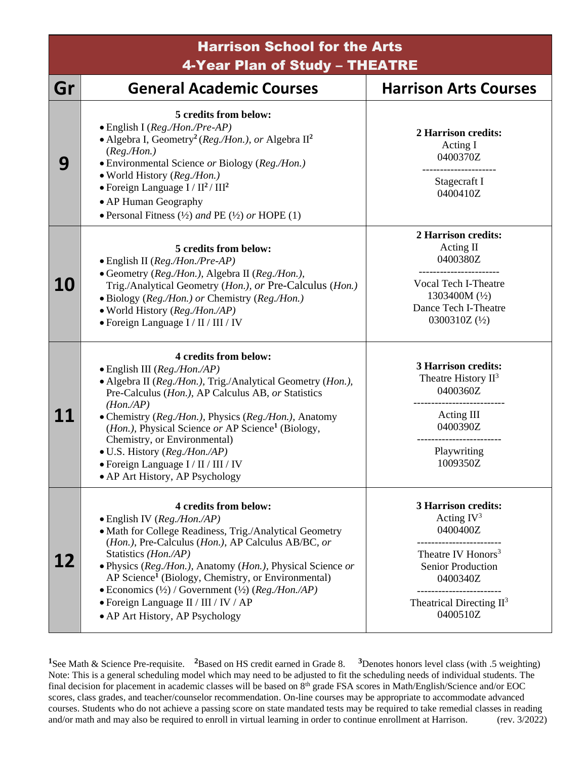## Harrison School for the Arts 4-Year Plan of Study – THEATRE

| Gr        | -- - - <b>---</b> - -<br><b>General Academic Courses</b>                                                                                                                                                                                                                                                                                                                                                                                                                                     | <b>Harrison Arts Courses</b>                                                                                                                                                                                  |
|-----------|----------------------------------------------------------------------------------------------------------------------------------------------------------------------------------------------------------------------------------------------------------------------------------------------------------------------------------------------------------------------------------------------------------------------------------------------------------------------------------------------|---------------------------------------------------------------------------------------------------------------------------------------------------------------------------------------------------------------|
| 9         | 5 credits from below:<br>· English I (Reg./Hon./Pre-AP)<br>• Algebra I, Geometry <sup>2</sup> (Reg./Hon.), or Algebra $\mathbb{H}^2$<br>(Reg. / Hon.)<br>• Environmental Science or Biology (Reg./Hon.)<br>• World History (Reg./Hon.)<br>$\bullet$ Foreign Language I / II <sup>2</sup> / III <sup>2</sup><br>• AP Human Geography<br>• Personal Fitness $(\frac{1}{2})$ and PE $(\frac{1}{2})$ or HOPE $(1)$                                                                               | 2 Harrison credits:<br>Acting I<br>0400370Z<br>Stagecraft I<br>0400410Z                                                                                                                                       |
| <b>10</b> | 5 credits from below:<br>$\bullet$ English II (Reg./Hon./Pre-AP)<br>• Geometry (Reg./Hon.), Algebra II (Reg./Hon.),<br>Trig./Analytical Geometry (Hon.), or Pre-Calculus (Hon.)<br>• Biology (Reg./Hon.) or Chemistry (Reg./Hon.)<br>· World History (Reg./Hon./AP)<br>• Foreign Language I / II / III / IV                                                                                                                                                                                  | 2 Harrison credits:<br>Acting II<br>0400380Z<br>Vocal Tech I-Theatre<br>1303400M $(\frac{1}{2})$<br>Dance Tech I-Theatre<br>0300310Z $(\frac{1}{2})$                                                          |
| 11        | 4 credits from below:<br>$\bullet$ English III (Reg./Hon./AP)<br>• Algebra II (Reg./Hon.), Trig./Analytical Geometry (Hon.),<br>Pre-Calculus (Hon.), AP Calculus AB, or Statistics<br>$(Hon.$ /AP)<br>• Chemistry (Reg./Hon.), Physics (Reg./Hon.), Anatomy<br>( <i>Hon.</i> ), Physical Science or AP Science <sup>1</sup> (Biology,<br>Chemistry, or Environmental)<br>• U.S. History (Reg./Hon./AP)<br>· Foreign Language I / II / III / IV<br>• AP Art History, AP Psychology            | <b>3 Harrison credits:</b><br>Theatre History $II^3$<br>0400360Z<br>Acting III<br>0400390Z<br>Playwriting<br>1009350Z                                                                                         |
|           | 4 credits from below:<br>$\bullet$ English IV (Reg./Hon./AP)<br>• Math for College Readiness, Trig./Analytical Geometry<br>(Hon.), Pre-Calculus (Hon.), AP Calculus AB/BC, or<br>Statistics (Hon./AP)<br>· Physics (Reg./Hon.), Anatomy (Hon.), Physical Science or<br>AP Science <sup>1</sup> (Biology, Chemistry, or Environmental)<br>• Economics $(\frac{1}{2})$ / Government $(\frac{1}{2})$ (Reg./Hon./AP)<br>• Foreign Language II / III / IV / AP<br>• AP Art History, AP Psychology | <b>3 Harrison credits:</b><br>Acting $IV^3$<br>0400400Z<br>___________<br>Theatre IV Honors <sup>3</sup><br><b>Senior Production</b><br>0400340Z<br>--------------<br>Theatrical Directing $II^3$<br>0400510Z |